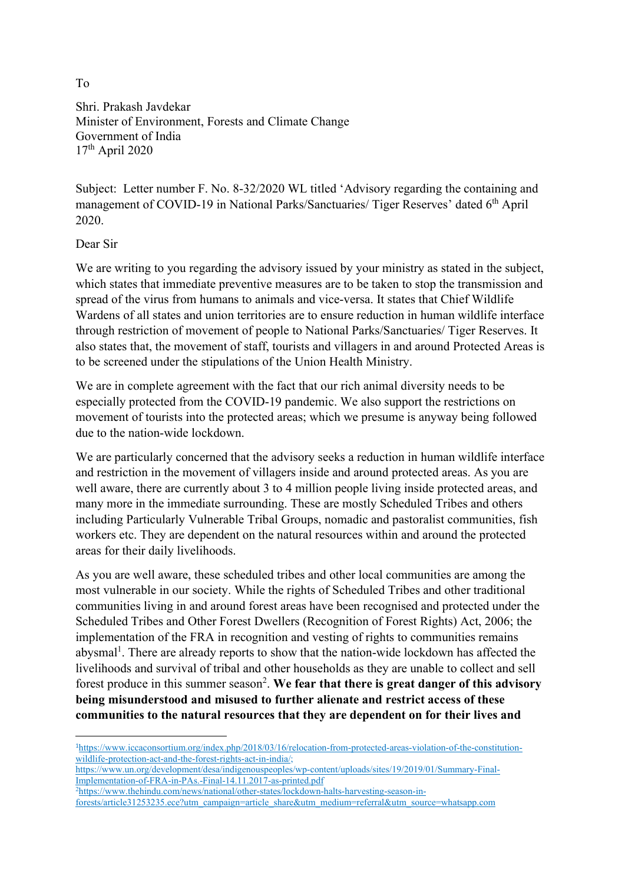Shri. Prakash Javdekar Minister of Environment, Forests and Climate Change Government of India 17th April 2020

Subject: Letter number F. No. 8-32/2020 WL titled 'Advisory regarding the containing and management of COVID-19 in National Parks/Sanctuaries/ Tiger Reserves' dated 6<sup>th</sup> April 2020.

## Dear Sir

We are writing to you regarding the advisory issued by your ministry as stated in the subject, which states that immediate preventive measures are to be taken to stop the transmission and spread of the virus from humans to animals and vice-versa. It states that Chief Wildlife Wardens of all states and union territories are to ensure reduction in human wildlife interface through restriction of movement of people to National Parks/Sanctuaries/ Tiger Reserves. It also states that, the movement of staff, tourists and villagers in and around Protected Areas is to be screened under the stipulations of the Union Health Ministry.

We are in complete agreement with the fact that our rich animal diversity needs to be especially protected from the COVID-19 pandemic. We also support the restrictions on movement of tourists into the protected areas; which we presume is anyway being followed due to the nation-wide lockdown.

We are particularly concerned that the advisory seeks a reduction in human wildlife interface and restriction in the movement of villagers inside and around protected areas. As you are well aware, there are currently about 3 to 4 million people living inside protected areas, and many more in the immediate surrounding. These are mostly Scheduled Tribes and others including Particularly Vulnerable Tribal Groups, nomadic and pastoralist communities, fish workers etc. They are dependent on the natural resources within and around the protected areas for their daily livelihoods.

As you are well aware, these scheduled tribes and other local communities are among the most vulnerable in our society. While the rights of Scheduled Tribes and other traditional communities living in and around forest areas have been recognised and protected under the Scheduled Tribes and Other Forest Dwellers (Recognition of Forest Rights) Act, 2006; the implementation of the FRA in recognition and vesting of rights to communities remains abysmal<sup>1</sup>. There are already reports to show that the nation-wide lockdown has affected the livelihoods and survival of tribal and other households as they are unable to collect and sell forest produce in this summer season<sup>2</sup>. We fear that there is great danger of this advisory being misunderstood and misused to further alienate and restrict access of these communities to the natural resources that they are dependent on for their lives and

To

<sup>1</sup>https://www.iccaconsortium.org/index.php/2018/03/16/relocation-from-protected-areas-violation-of-the-constitutionwildlife-protection-act-and-the-forest-rights-act-in-india/;

https://www.un.org/development/desa/indigenouspeoples/wp-content/uploads/sites/19/2019/01/Summary-Final-Implementation-of-FRA-in-PAs.-Final-14.11.2017-as-printed.pdf

<sup>2</sup>https://www.thehindu.com/news/national/other-states/lockdown-halts-harvesting-season-in-

forests/article31253235.ece?utm\_campaign=article\_share&utm\_medium=referral&utm\_source=whatsapp.com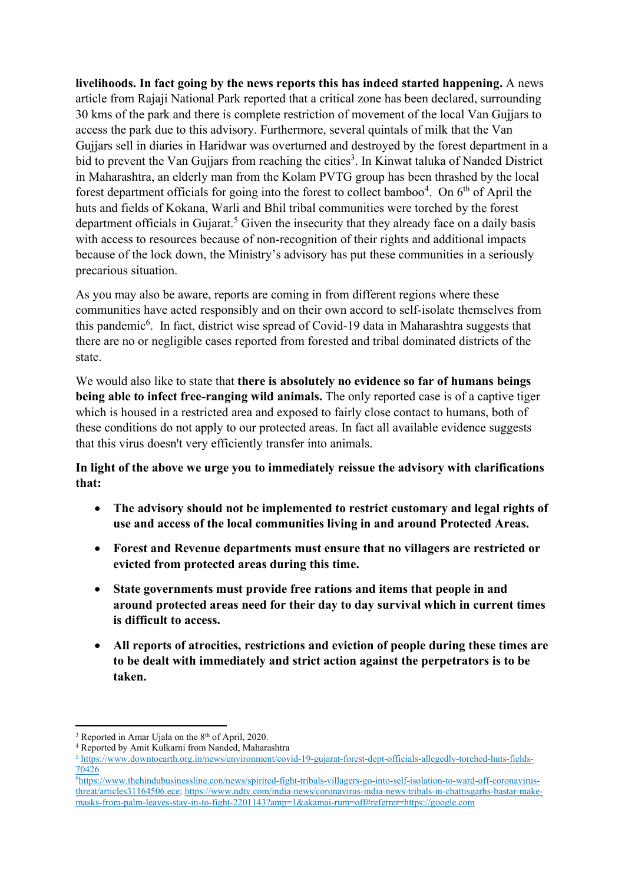livelihoods. In fact going by the news reports this has indeed started happening. A news article from Rajaji National Park reported that a critical zone has been declared, surrounding 30 kms of the park and there is complete restriction of movement of the local Van Gujjars to access the park due to this advisory. Furthermore, several quintals of milk that the Van Gujjars sell in diaries in Haridwar was overturned and destroyed by the forest department in a bid to prevent the Van Gujjars from reaching the cities<sup>3</sup>. In Kinwat taluka of Nanded District in Maharashtra, an elderly man from the Kolam PVTG group has been thrashed by the local forest department officials for going into the forest to collect bamboo<sup>4</sup>. On  $6<sup>th</sup>$  of April the huts and fields of Kokana, Warli and Bhil tribal communities were torched by the forest department officials in Gujarat.<sup>5</sup> Given the insecurity that they already face on a daily basis with access to resources because of non-recognition of their rights and additional impacts because of the lock down, the Ministry's advisory has put these communities in a seriously precarious situation.

As you may also be aware, reports are coming in from different regions where these communities have acted responsibly and on their own accord to self-isolate themselves from this pandemic<sup>6</sup>. In fact, district wise spread of Covid-19 data in Maharashtra suggests that there are no or negligible cases reported from forested and tribal dominated districts of the state.

We would also like to state that there is absolutely no evidence so far of humans beings being able to infect free-ranging wild animals. The only reported case is of a captive tiger which is housed in a restricted area and exposed to fairly close contact to humans, both of these conditions do not apply to our protected areas. In fact all available evidence suggests that this virus doesn't very efficiently transfer into animals.

In light of the above we urge you to immediately reissue the advisory with clarifications that:

- The advisory should not be implemented to restrict customary and legal rights of use and access of the local communities living in and around Protected Areas.
- Forest and Revenue departments must ensure that no villagers are restricted or evicted from protected areas during this time.
- State governments must provide free rations and items that people in and around protected areas need for their day to day survival which in current times is difficult to access.
- All reports of atrocities, restrictions and eviction of people during these times are to be dealt with immediately and strict action against the perpetrators is to be taken.

 $3$  Reported in Amar Ujala on the  $8<sup>th</sup>$  of April, 2020.

<sup>4</sup> Reported by Amit Kulkarni from Nanded, Maharashtra

<sup>&</sup>lt;sup>5</sup> https://www.downtoearth.org.in/news/environment/covid-19-gujarat-forest-dept-officials-allegedly-torched-huts-fields-70426

<sup>6</sup>https://www.thehindubusinessline.con/news/spirited-fight-tribals-villagers-go-into-self-isolation-to-ward-off-coronavirusthreat/articles31164506.ece; https://www.ndtv.com/india-news/coronavirus-india-news-tribals-in-chattisgarhs-bastar-makemasks-from-palm-leaves-stay-in-to-fight-2201143?amp=1&akamai-rum=off#referrer=https://google.com